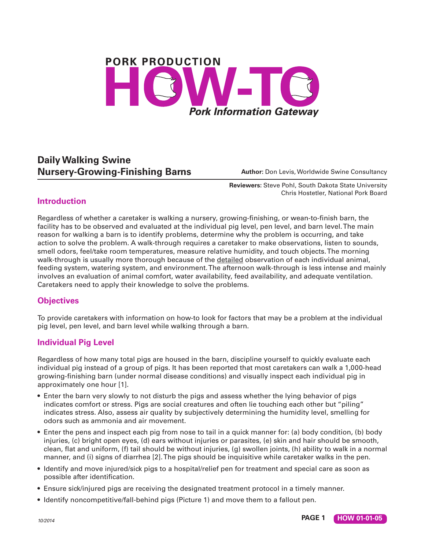# **PORK PRODUCTION Pork Information Gateway**

## **Daily Walking Swine Nursery-Growing-Finishing Barns Author:** Don Levis, Worldwide Swine Consultancy

**Reviewers:** Steve Pohl, South Dakota State University Chris Hostetler, National Pork Board

#### **Introduction**

Regardless of whether a caretaker is walking a nursery, growing-finishing, or wean-to-finish barn, the facility has to be observed and evaluated at the individual pig level, pen level, and barn level. The main reason for walking a barn is to identify problems, determine why the problem is occurring, and take action to solve the problem. A walk-through requires a caretaker to make observations, listen to sounds, smell odors, feel/take room temperatures, measure relative humidity, and touch objects. The morning walk-through is usually more thorough because of the detailed observation of each individual animal, feeding system, watering system, and environment. The afternoon walk-through is less intense and mainly involves an evaluation of animal comfort, water availability, feed availability, and adequate ventilation. Caretakers need to apply their knowledge to solve the problems.

#### **Objectives**

To provide caretakers with information on how-to look for factors that may be a problem at the individual pig level, pen level, and barn level while walking through a barn.

### **Individual Pig Level**

Regardless of how many total pigs are housed in the barn, discipline yourself to quickly evaluate each individual pig instead of a group of pigs. It has been reported that most caretakers can walk a 1,000-head growing-finishing barn (under normal disease conditions) and visually inspect each individual pig in approximately one hour [1].

- Enter the barn very slowly to not disturb the pigs and assess whether the lying behavior of pigs indicates comfort or stress. Pigs are social creatures and often lie touching each other but "piling" indicates stress. Also, assess air quality by subjectively determining the humidity level, smelling for odors such as ammonia and air movement.
- Enter the pens and inspect each pig from nose to tail in a quick manner for: (a) body condition, (b) body injuries, (c) bright open eyes, (d) ears without injuries or parasites, (e) skin and hair should be smooth, clean, flat and uniform, (f) tail should be without injuries, (g) swollen joints, (h) ability to walk in a normal manner, and (i) signs of diarrhea [2]. The pigs should be inquisitive while caretaker walks in the pen.
- Identify and move injured/sick pigs to a hospital/relief pen for treatment and special care as soon as possible after identification.
- Ensure sick/injured pigs are receiving the designated treatment protocol in a timely manner.
- Identify noncompetitive/fall-behind pigs (Picture 1) and move them to a fallout pen.

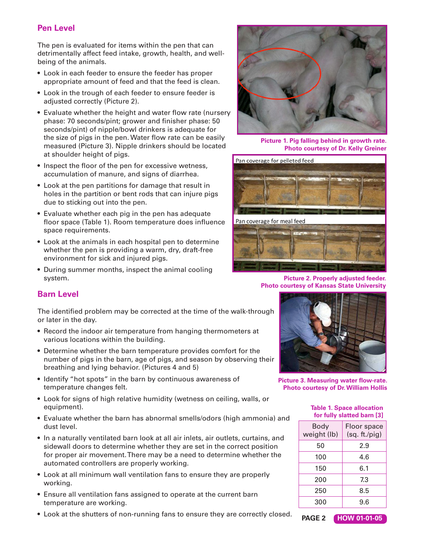### **Pen Level**

The pen is evaluated for items within the pen that can detrimentally affect feed intake, growth, health, and wellbeing of the animals.

- Look in each feeder to ensure the feeder has proper appropriate amount of feed and that the feed is clean.
- Look in the trough of each feeder to ensure feeder is adjusted correctly (Picture 2).
- Evaluate whether the height and water flow rate (nursery phase: 70 seconds/pint; grower and finisher phase: 50 seconds/pint) of nipple/bowl drinkers is adequate for the size of pigs in the pen. Water flow rate can be easily measured (Picture 3). Nipple drinkers should be located at shoulder height of pigs.
- Inspect the floor of the pen for excessive wetness, accumulation of manure, and signs of diarrhea.
- Look at the pen partitions for damage that result in holes in the partition or bent rods that can injure pigs due to sticking out into the pen.
- Evaluate whether each pig in the pen has adequate floor space (Table 1). Room temperature does influence space requirements.
- Look at the animals in each hospital pen to determine whether the pen is providing a warm, dry, draft-free environment for sick and injured pigs.
- During summer months, inspect the animal cooling system.



**Picture 1. Pig falling behind in growth rate. Photo courtesy of Dr. Kelly Greiner**



**Picture 2. Properly adjusted feeder. Photo courtesy of Kansas State University**

#### **Barn Level**

The identified problem may be corrected at the time of the walk-through or later in the day.

- Record the indoor air temperature from hanging thermometers at various locations within the building.
- Determine whether the barn temperature provides comfort for the number of pigs in the barn, age of pigs, and season by observing their breathing and lying behavior. (Pictures 4 and 5)
- Identify "hot spots" in the barn by continuous awareness of temperature changes felt.
- Look for signs of high relative humidity (wetness on ceiling, walls, or equipment).
- Evaluate whether the barn has abnormal smells/odors (high ammonia) and dust level.
- In a naturally ventilated barn look at all air inlets, air outlets, curtains, and sidewall doors to determine whether they are set in the correct position for proper air movement. There may be a need to determine whether the automated controllers are properly working.
- Look at all minimum wall ventilation fans to ensure they are properly working.
- Ensure all ventilation fans assigned to operate at the current barn temperature are working.
- Look at the shutters of non-running fans to ensure they are correctly closed.



**Picture 3. Measuring water flow-rate. Photo courtesy of Dr. William Hollis**

| lable 1. Opace allucation<br>for fully slatted barn [3] |                              |
|---------------------------------------------------------|------------------------------|
| Body<br>weight (lb)                                     | Floor space<br>(sq. ft./pig) |
| 50                                                      | 2.9                          |
| 100                                                     | 4.6                          |
| 150                                                     | 6.1                          |
| 200                                                     | 7.3                          |
| 250                                                     | 8.5                          |
| 300                                                     | 9.6                          |
|                                                         |                              |

 **Table 1. Space allocation** 

**PAGE 2 HOW 01-01-05**